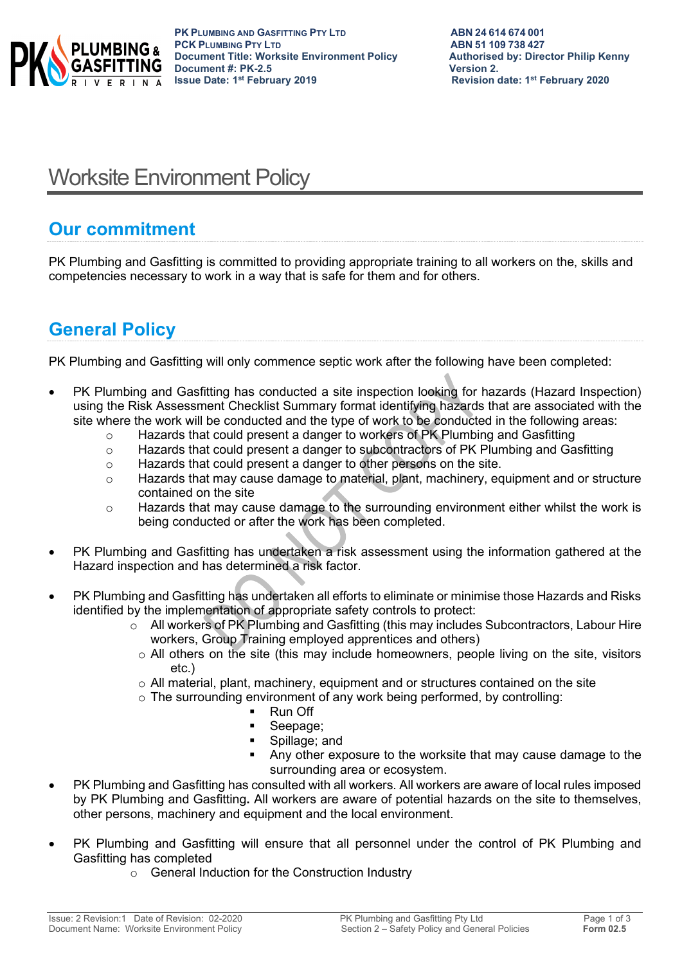

# Worksite Environment Policy

### **Our commitment**

PK Plumbing and Gasfitting is committed to providing appropriate training to all workers on the, skills and competencies necessary to work in a way that is safe for them and for others.

## **General Policy**

PK Plumbing and Gasfitting will only commence septic work after the following have been completed:

- PK Plumbing and Gasfitting has conducted a site inspection looking for hazards (Hazard Inspection) using the Risk Assessment Checklist Summary format identifying hazards that are associated with the site where the work will be conducted and the type of work to be conducted in the following areas:
	- o Hazards that could present a danger to workers of PK Plumbing and Gasfitting
	- $\circ$  Hazards that could present a danger to subcontractors of PK Plumbing and Gasfitting
	- o Hazards that could present a danger to other persons on the site.
	- $\circ$  Hazards that may cause damage to material, plant, machinery, equipment and or structure contained on the site
	- o Hazards that may cause damage to the surrounding environment either whilst the work is being conducted or after the work has been completed.
- PK Plumbing and Gasfitting has undertaken a risk assessment using the information gathered at the Hazard inspection and has determined a risk factor.
- PK Plumbing and Gasfitting has undertaken all efforts to eliminate or minimise those Hazards and Risks identified by the implementation of appropriate safety controls to protect:
	- $\circ$  All workers of PK Plumbing and Gasfitting (this may includes Subcontractors, Labour Hire workers, Group Training employed apprentices and others)
		- $\circ$  All others on the site (this may include homeowners, people living on the site, visitors etc.)
		- $\circ$  All material, plant, machinery, equipment and or structures contained on the site
		- $\circ$  The surrounding environment of any work being performed, by controlling:<br> $\bullet$  Rup Off
			- Run Off
			- **Seepage:**
			- Spillage; and
			- Any other exposure to the worksite that may cause damage to the surrounding area or ecosystem.
- PK Plumbing and Gasfitting has consulted with all workers. All workers are aware of local rules imposed by PK Plumbing and Gasfitting**.** All workers are aware of potential hazards on the site to themselves, other persons, machinery and equipment and the local environment.
- PK Plumbing and Gasfitting will ensure that all personnel under the control of PK Plumbing and Gasfitting has completed
	- o General Induction for the Construction Industry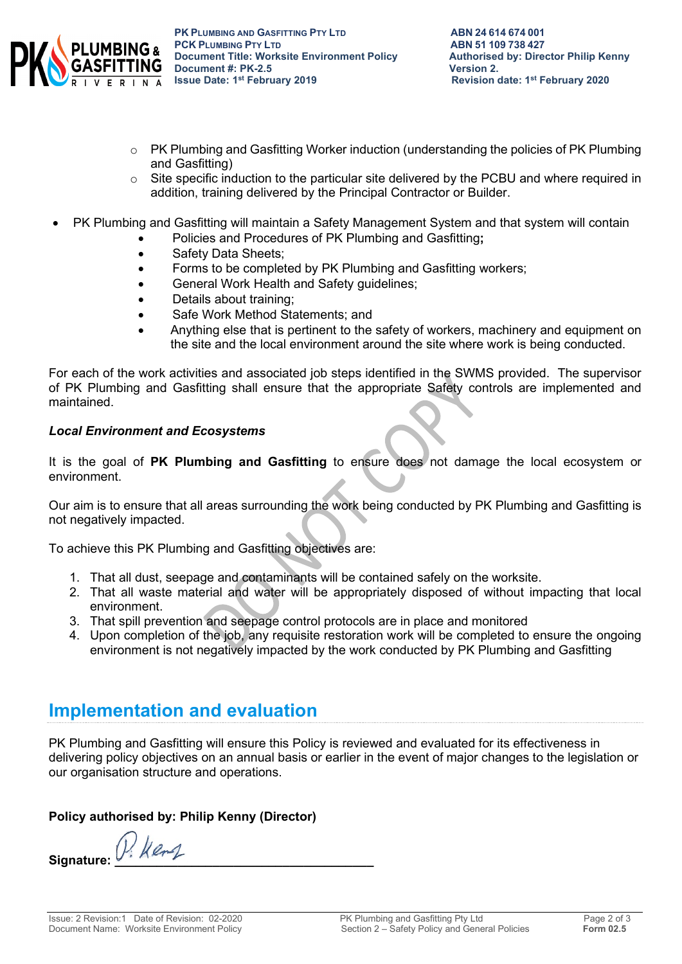

- $\circ$  PK Plumbing and Gasfitting Worker induction (understanding the policies of PK Plumbing and Gasfitting)
- o Site specific induction to the particular site delivered by the PCBU and where required in addition, training delivered by the Principal Contractor or Builder.
- PK Plumbing and Gasfitting will maintain a Safety Management System and that system will contain
	- Policies and Procedures of PK Plumbing and Gasfitting**;**
	- Safety Data Sheets:
	- Forms to be completed by PK Plumbing and Gasfitting workers;
	- General Work Health and Safety guidelines;
	- Details about training;
	- Safe Work Method Statements; and
	- Anything else that is pertinent to the safety of workers, machinery and equipment on the site and the local environment around the site where work is being conducted.

For each of the work activities and associated job steps identified in the SWMS provided. The supervisor of PK Plumbing and Gasfitting shall ensure that the appropriate Safety controls are implemented and maintained.

#### *Local Environment and Ecosystems*

It is the goal of **PK Plumbing and Gasfitting** to ensure does not damage the local ecosystem or environment.

Our aim is to ensure that all areas surrounding the work being conducted by PK Plumbing and Gasfitting is not negatively impacted.

To achieve this PK Plumbing and Gasfitting objectives are:

- 1. That all dust, seepage and contaminants will be contained safely on the worksite.
- 2. That all waste material and water will be appropriately disposed of without impacting that local environment.
- 3. That spill prevention and seepage control protocols are in place and monitored
- 4. Upon completion of the job, any requisite restoration work will be completed to ensure the ongoing environment is not negatively impacted by the work conducted by PK Plumbing and Gasfitting

### **Implementation and evaluation**

PK Plumbing and Gasfitting will ensure this Policy is reviewed and evaluated for its effectiveness in delivering policy objectives on an annual basis or earlier in the event of major changes to the legislation or our organisation structure and operations.

#### **Policy authorised by: Philip Kenny (Director)**

Signature: